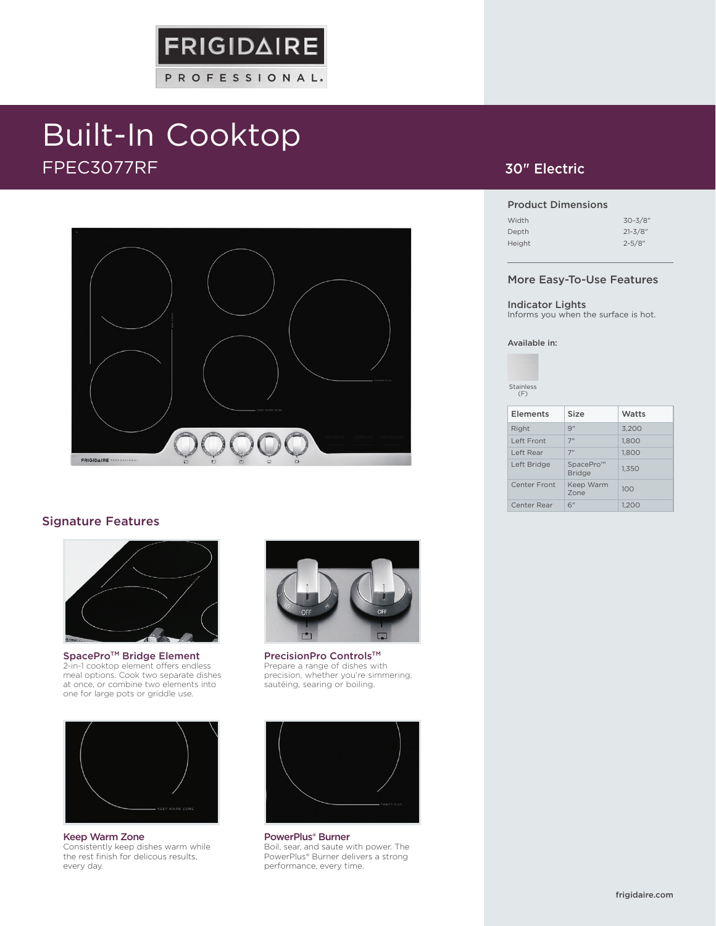# Built-In Cooktop FPEC3077RF



**FRIGIDAIRE** 

PROFESSIONAL.

#### Signature Features



SpacePro<sup>™</sup> Bridge Element 2-in-1 cooktop element offers endless meal options. Cook two separate dishes at once, or combine two elements into one for large pots or griddle use.



Keep Warm Zone Consistently keep dishes warm while the rest finish for delicous results, every day.



PrecisionPro Controls™ Prepare a range of dishes with precision, whether you're simmering, sautéing, searing or boiling.



PowerPlus® Burner Boil, sear, and saute with power. The PowerPlus® Burner delivers a strong performance, every time.

### 30" Electric

#### Product Dimensions

| Width  | $30 - 3/8"$ |
|--------|-------------|
| Depth  | $21 - 3/8"$ |
| Height | $2 - 5/8"$  |

#### More Easy-To-Use Features

#### Indicator Lights

Informs you when the surface is hot.

#### Available in:

Stainless  $(F)$ 

| <b>Elements</b> | Size                          | Watts |
|-----------------|-------------------------------|-------|
| Right           | Q''                           | 3.200 |
| Left Front      | 7"                            | 1.800 |
| Left Rear       | 7 <sup>''</sup>               | 1.800 |
| Left Bridge     | SpacePro™<br><b>Bridge</b>    | 1.350 |
| Center Front    | Keep Warm<br>7 <sub>one</sub> | 100   |
| Center Rear     | 6"                            | 1.200 |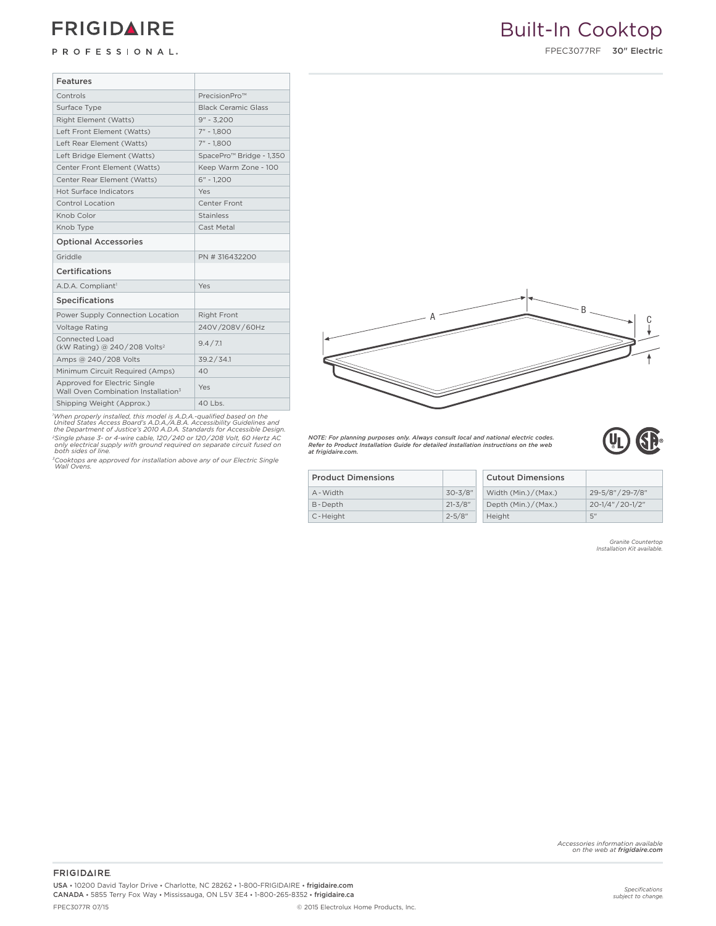## **FRIGIDAIRE**

PROFESSIONAL.

FPEC3077RF 30" Electric

| Features                                                                        |                                      |  |  |  |
|---------------------------------------------------------------------------------|--------------------------------------|--|--|--|
| Controls                                                                        | PrecisionPro™                        |  |  |  |
| Surface Type                                                                    | <b>Black Ceramic Glass</b>           |  |  |  |
| Right Element (Watts)                                                           | $9'' - 3.200$                        |  |  |  |
| Left Front Element (Watts)                                                      | $7" - 1.800$                         |  |  |  |
| Left Rear Element (Watts)                                                       | $7" - 1.800$                         |  |  |  |
| Left Bridge Element (Watts)                                                     | SpacePro <sup>™</sup> Bridge - 1,350 |  |  |  |
| Center Front Element (Watts)                                                    | Keep Warm Zone - 100                 |  |  |  |
| Center Rear Element (Watts)                                                     | $6" - 1.200$                         |  |  |  |
| Hot Surface Indicators                                                          | Yes                                  |  |  |  |
| Control Location                                                                | Center Front                         |  |  |  |
| Knob Color                                                                      | <b>Stainless</b>                     |  |  |  |
| Knob Type                                                                       | Cast Metal                           |  |  |  |
| <b>Optional Accessories</b>                                                     |                                      |  |  |  |
| Griddle                                                                         | PN # 316432200                       |  |  |  |
| Certifications                                                                  |                                      |  |  |  |
| A.D.A. Compliant <sup>1</sup>                                                   | Yes                                  |  |  |  |
| <b>Specifications</b>                                                           |                                      |  |  |  |
| Power Supply Connection Location                                                | <b>Right Front</b>                   |  |  |  |
| <b>Voltage Rating</b>                                                           | 240V/208V/60Hz                       |  |  |  |
| Connected Load<br>(kW Rating) @ 240/208 Volts <sup>2</sup>                      | 9.4 / 7.1                            |  |  |  |
| Amps @ 240/208 Volts                                                            | 39.2 / 34.1                          |  |  |  |
| Minimum Circuit Required (Amps)                                                 | 40                                   |  |  |  |
| Approved for Electric Single<br>Wall Oven Combination Installation <sup>3</sup> | Yes                                  |  |  |  |
| Shipping Weight (Approx.)                                                       | $40$ Lbs.                            |  |  |  |

'When properly installed, this model is A.D.A.-qualified based on the<br>United States Access Board's A.D.A./A.B.A. Accessibility Guidelines and<br>the Department of Justice's 2010 A.D.A. Standards for Accessible Design. *2Single phase 3- or 4-wire cable, 120 / 240 or 120 / 208 Volt, 60 Hertz AC only electrical supply with ground required on separate circuit fused on both sides of line.*

*3Cooktops are approved for installation above any of our Electric Single Wall Ovens.*

*NOTE: For planning purposes only. Always consult local and national electric codes. Refer to Product Installation Guide for detailed installation instructions on the web at frigidaire.com.*



| <b>Product Dimensions</b> |             | <b>Cutout Dimensions</b> |                   |
|---------------------------|-------------|--------------------------|-------------------|
| A - Width                 | $30 - 3/8"$ | Width (Min.)/(Max.)      | 29-5/8" / 29-7/8" |
| B-Depth                   | $21 - 3/8"$ | Depth (Min.)/(Max.)      | 20-1/4" / 20-1/2" |
| C-Height                  | $2 - 5/8"$  | Height                   | 5"                |
|                           |             |                          |                   |

*Granite Countertop Installation Kit available.*

*Accessories information available on the web at frigidaire.com*